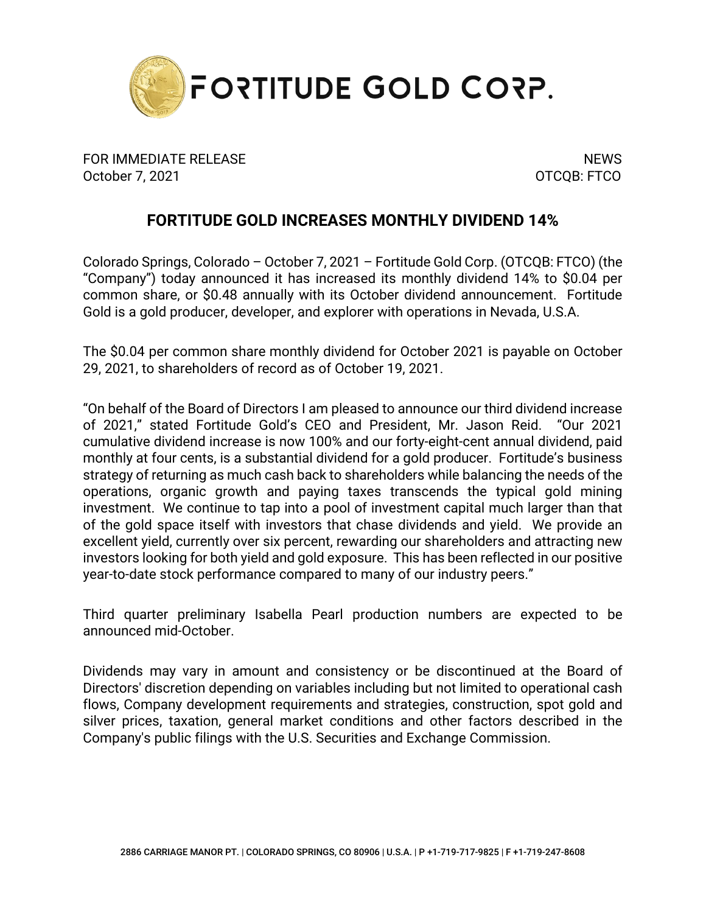

FOR IMMEDIATE RELEASE NEWS AND THE SERVICE OF STREET AND THE SERVICE OF STREET AND THE SERVICE OF STREET AND T October 7, 2021 OTCQB: FTCO

## **FORTITUDE GOLD INCREASES MONTHLY DIVIDEND 14%**

Colorado Springs, Colorado – October 7, 2021 – Fortitude Gold Corp. (OTCQB: FTCO) (the "Company") today announced it has increased its monthly dividend 14% to \$0.04 per common share, or \$0.48 annually with its October dividend announcement. Fortitude Gold is a gold producer, developer, and explorer with operations in Nevada, U.S.A.

The \$0.04 per common share monthly dividend for October 2021 is payable on October 29, 2021, to shareholders of record as of October 19, 2021.

"On behalf of the Board of Directors I am pleased to announce our third dividend increase of 2021," stated Fortitude Gold's CEO and President, Mr. Jason Reid. "Our 2021 cumulative dividend increase is now 100% and our forty-eight-cent annual dividend, paid monthly at four cents, is a substantial dividend for a gold producer. Fortitude's business strategy of returning as much cash back to shareholders while balancing the needs of the operations, organic growth and paying taxes transcends the typical gold mining investment. We continue to tap into a pool of investment capital much larger than that of the gold space itself with investors that chase dividends and yield. We provide an excellent yield, currently over six percent, rewarding our shareholders and attracting new investors looking for both yield and gold exposure. This has been reflected in our positive year-to-date stock performance compared to many of our industry peers."

Third quarter preliminary Isabella Pearl production numbers are expected to be announced mid-October.

Dividends may vary in amount and consistency or be discontinued at the Board of Directors' discretion depending on variables including but not limited to operational cash flows, Company development requirements and strategies, construction, spot gold and silver prices, taxation, general market conditions and other factors described in the Company's public filings with the U.S. Securities and Exchange Commission.